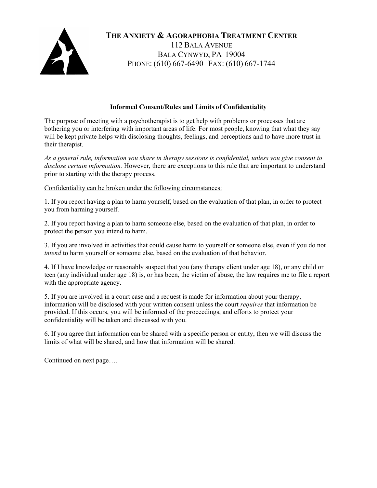

**THE ANXIETY & AGORAPHOBIA TREATMENT CENTER** 112 BALA AVENUE BALA CYNWYD, PA 19004 PHONE: (610) 667-6490 FAX: (610) 667-1744

## **Informed Consent/Rules and Limits of Confidentiality**

The purpose of meeting with a psychotherapist is to get help with problems or processes that are bothering you or interfering with important areas of life. For most people, knowing that what they say will be kept private helps with disclosing thoughts, feelings, and perceptions and to have more trust in their therapist.

*As a general rule, information you share in therapy sessions is confidential, unless you give consent to disclose certain information.* However, there are exceptions to this rule that are important to understand prior to starting with the therapy process.

Confidentiality can be broken under the following circumstances:

1. If you report having a plan to harm yourself, based on the evaluation of that plan, in order to protect you from harming yourself.

2. If you report having a plan to harm someone else, based on the evaluation of that plan, in order to protect the person you intend to harm.

3. If you are involved in activities that could cause harm to yourself or someone else, even if you do not *intend* to harm yourself or someone else, based on the evaluation of that behavior.

4. If I have knowledge or reasonably suspect that you (any therapy client under age 18), or any child or teen (any individual under age 18) is, or has been, the victim of abuse, the law requires me to file a report with the appropriate agency.

5. If you are involved in a court case and a request is made for information about your therapy, information will be disclosed with your written consent unless the court *requires* that information be provided. If this occurs, you will be informed of the proceedings, and efforts to protect your confidentiality will be taken and discussed with you.

6. If you agree that information can be shared with a specific person or entity, then we will discuss the limits of what will be shared, and how that information will be shared.

Continued on next page….